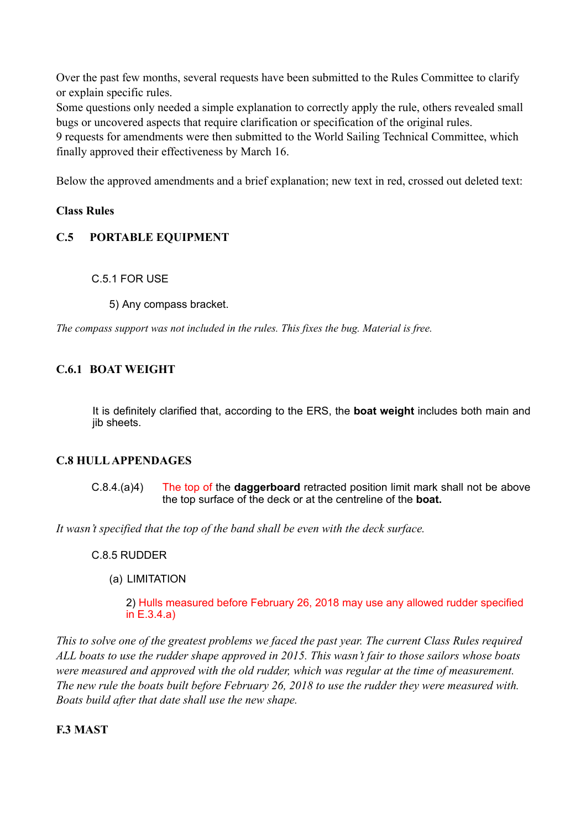Over the past few months, several requests have been submitted to the Rules Committee to clarify or explain specific rules.

Some questions only needed a simple explanation to correctly apply the rule, others revealed small bugs or uncovered aspects that require clarification or specification of the original rules.

9 requests for amendments were then submitted to the World Sailing Technical Committee, which finally approved their effectiveness by March 16.

Below the approved amendments and a brief explanation; new text in red, crossed out deleted text:

# **Class Rules**

# **C.5 PORTABLE EQUIPMENT**

## C.5.1 FOR USE

5) Any compass bracket.

*The compass support was not included in the rules. This fixes the bug. Material is free.*

# **C.6.1 BOAT WEIGHT**

It is definitely clarified that, according to the ERS, the **boat weight** includes both main and jib sheets.

# **C.8 HULL APPENDAGES**

C.8.4.(a)4) The top of the **daggerboard** retracted position limit mark shall not be above the top surface of the deck or at the centreline of the **boat.**

*It wasn't specified that the top of the band shall be even with the deck surface.* 

## C.8.5 RUDDER

(a) LIMITATION

2) Hulls measured before February 26, 2018 may use any allowed rudder specified in E.3.4.a)

*This to solve one of the greatest problems we faced the past year. The current Class Rules required ALL boats to use the rudder shape approved in 2015. This wasn't fair to those sailors whose boats were measured and approved with the old rudder, which was regular at the time of measurement. The new rule the boats built before February 26, 2018 to use the rudder they were measured with. Boats build after that date shall use the new shape.*

## **F.3 MAST**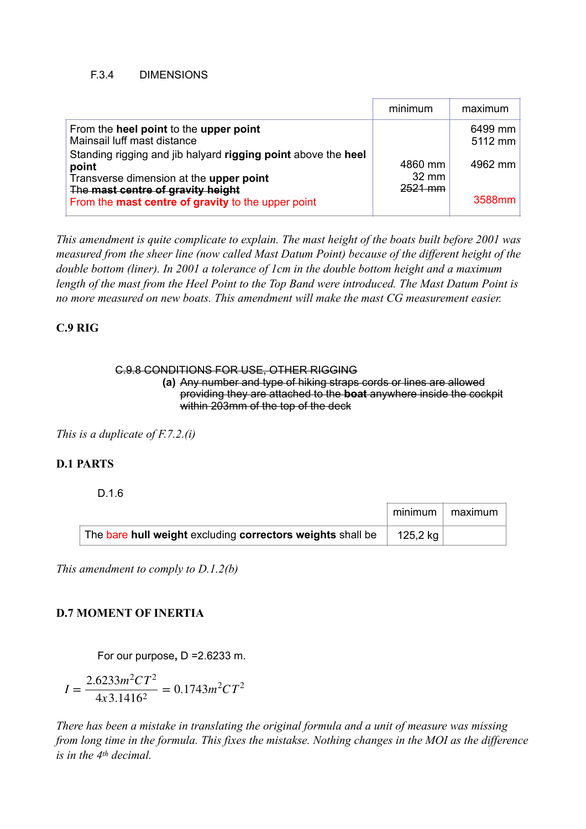#### F.3.4 DIMENSIONS

|                                                                                                                                                                                                                                 | minimum                                 | maximum                       |
|---------------------------------------------------------------------------------------------------------------------------------------------------------------------------------------------------------------------------------|-----------------------------------------|-------------------------------|
| From the heel point to the upper point<br>Mainsail luff mast distance<br>Standing rigging and jib halyard rigging point above the heel<br>point<br>Transverse dimension at the upper point<br>The mast centre of gravity height | 4860 mm<br>$32 \text{ mm}$<br>$2521$ mm | 6499 mm<br>5112 mm<br>4962 mm |
| From the mast centre of gravity to the upper point                                                                                                                                                                              |                                         | 3588mm                        |

*This amendment is quite complicate to explain. The mast height of the boats built before 2001 was measured from the sheer line (now called Mast Datum Point) because of the different height of the double bottom (liner). In 2001 a tolerance of 1cm in the double bottom height and a maximum length of the mast from the Heel Point to the Top Band were introduced. The Mast Datum Point is no more measured on new boats. This amendment will make the mast CG measurement easier.* 

# **C.9 RIG**

#### C.9.8 CONDITIONS FOR USE, OTHER RIGGING

**(a)** Any number and type of hiking straps cords or lines are allowed providing they are attached to the **boat** anywhere inside the cockpit within 203mm of the top of the deck

*This is a duplicate of F.7.2.(i)* 

# **D.1 PARTS**

#### D.1.6

|                                                            | minimum  | maximum l |
|------------------------------------------------------------|----------|-----------|
| The bare hull weight excluding correctors weights shall be | 125,2 kg |           |

*This amendment to comply to D.1.2(b)* 

## **D.7 MOMENT OF INERTIA**

For our purpose**,** D =2.6233 m.

$$
I = \frac{2.6233m^2CT^2}{4x3.1416^2} = 0.1743m^2CT^2
$$

*There has been a mistake in translating the original formula and a unit of measure was missing from long time in the formula. This fixes the mistakse. Nothing changes in the MOI as the difference is in the 4th decimal.*